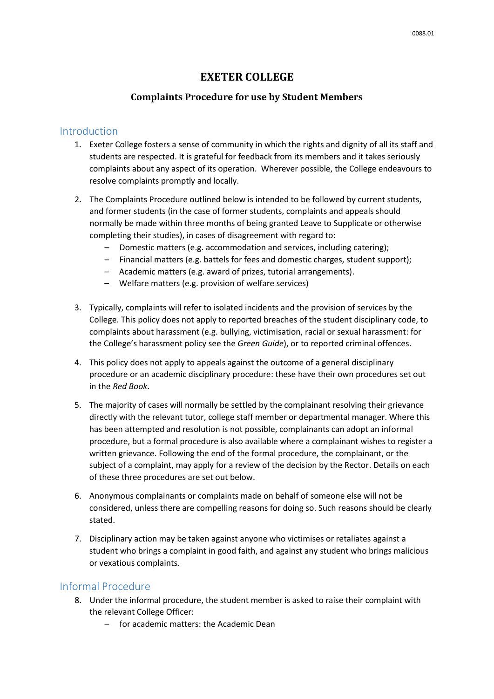# **EXETER COLLEGE**

#### **Complaints Procedure for use by Student Members**

#### **Introduction**

- 1. Exeter College fosters a sense of community in which the rights and dignity of all its staff and students are respected. It is grateful for feedback from its members and it takes seriously complaints about any aspect of its operation. Wherever possible, the College endeavours to resolve complaints promptly and locally.
- 2. The Complaints Procedure outlined below is intended to be followed by current students, and former students (in the case of former students, complaints and appeals should normally be made within three months of being granted Leave to Supplicate or otherwise completing their studies), in cases of disagreement with regard to:
	- Domestic matters (e.g. accommodation and services, including catering);
	- Financial matters (e.g. battels for fees and domestic charges, student support);
	- Academic matters (e.g. award of prizes, tutorial arrangements).
	- Welfare matters (e.g. provision of welfare services)
- 3. Typically, complaints will refer to isolated incidents and the provision of services by the College. This policy does not apply to reported breaches of the student disciplinary code, to complaints about harassment (e.g. bullying, victimisation, racial or sexual harassment: for the College's harassment policy see the *Green Guide*), or to reported criminal offences.
- 4. This policy does not apply to appeals against the outcome of a general disciplinary procedure or an academic disciplinary procedure: these have their own procedures set out in the *Red Book*.
- 5. The majority of cases will normally be settled by the complainant resolving their grievance directly with the relevant tutor, college staff member or departmental manager. Where this has been attempted and resolution is not possible, complainants can adopt an informal procedure, but a formal procedure is also available where a complainant wishes to register a written grievance. Following the end of the formal procedure, the complainant, or the subject of a complaint, may apply for a review of the decision by the Rector. Details on each of these three procedures are set out below.
- 6. Anonymous complainants or complaints made on behalf of someone else will not be considered, unless there are compelling reasons for doing so. Such reasons should be clearly stated.
- 7. Disciplinary action may be taken against anyone who victimises or retaliates against a student who brings a complaint in good faith, and against any student who brings malicious or vexatious complaints.

### Informal Procedure

- 8. Under the informal procedure, the student member is asked to raise their complaint with the relevant College Officer:
	- for academic matters: the Academic Dean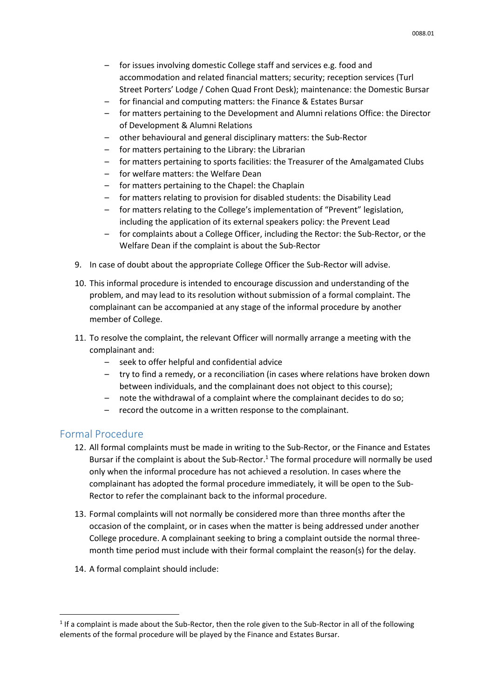- for issues involving domestic College staff and services e.g. food and accommodation and related financial matters; security; reception services (Turl Street Porters' Lodge / Cohen Quad Front Desk); maintenance: the Domestic Bursar
- for financial and computing matters: the Finance & Estates Bursar
- for matters pertaining to the Development and Alumni relations Office: the Director of Development & Alumni Relations
- other behavioural and general disciplinary matters: the Sub-Rector
- for matters pertaining to the Library: the Librarian
- for matters pertaining to sports facilities: the Treasurer of the Amalgamated Clubs
- for welfare matters: the Welfare Dean
- for matters pertaining to the Chapel: the Chaplain
- for matters relating to provision for disabled students: the Disability Lead
- for matters relating to the College's implementation of "Prevent" legislation, including the application of its external speakers policy: the Prevent Lead
- for complaints about a College Officer, including the Rector: the Sub-Rector, or the Welfare Dean if the complaint is about the Sub-Rector
- 9. In case of doubt about the appropriate College Officer the Sub-Rector will advise.
- 10. This informal procedure is intended to encourage discussion and understanding of the problem, and may lead to its resolution without submission of a formal complaint. The complainant can be accompanied at any stage of the informal procedure by another member of College.
- 11. To resolve the complaint, the relevant Officer will normally arrange a meeting with the complainant and:
	- seek to offer helpful and confidential advice
	- try to find a remedy, or a reconciliation (in cases where relations have broken down between individuals, and the complainant does not object to this course);
	- note the withdrawal of a complaint where the complainant decides to do so;
	- record the outcome in a written response to the complainant.

#### Formal Procedure

1

- 12. All formal complaints must be made in writing to the Sub-Rector, or the Finance and Estates Bursar if the complaint is about the Sub-Rector.<sup>1</sup> The formal procedure will normally be used only when the informal procedure has not achieved a resolution. In cases where the complainant has adopted the formal procedure immediately, it will be open to the Sub-Rector to refer the complainant back to the informal procedure.
- 13. Formal complaints will not normally be considered more than three months after the occasion of the complaint, or in cases when the matter is being addressed under another College procedure. A complainant seeking to bring a complaint outside the normal threemonth time period must include with their formal complaint the reason(s) for the delay.
- 14. A formal complaint should include:

<sup>&</sup>lt;sup>1</sup> If a complaint is made about the Sub-Rector, then the role given to the Sub-Rector in all of the following elements of the formal procedure will be played by the Finance and Estates Bursar.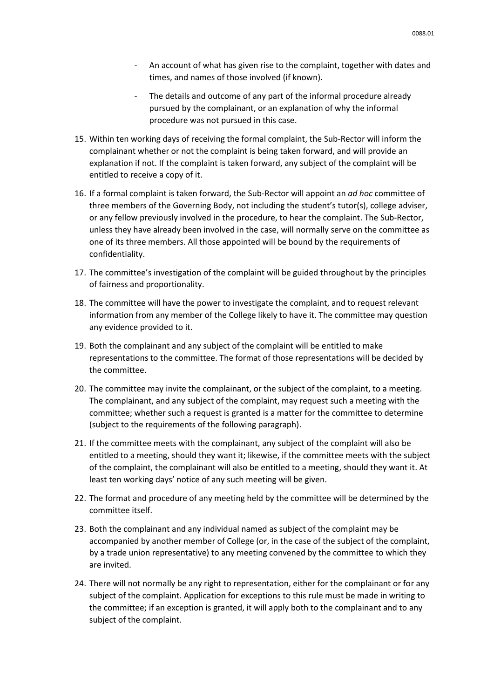- An account of what has given rise to the complaint, together with dates and times, and names of those involved (if known).
- The details and outcome of any part of the informal procedure already pursued by the complainant, or an explanation of why the informal procedure was not pursued in this case.
- 15. Within ten working days of receiving the formal complaint, the Sub-Rector will inform the complainant whether or not the complaint is being taken forward, and will provide an explanation if not. If the complaint is taken forward, any subject of the complaint will be entitled to receive a copy of it.
- 16. If a formal complaint is taken forward, the Sub-Rector will appoint an *ad hoc* committee of three members of the Governing Body, not including the student's tutor(s), college adviser, or any fellow previously involved in the procedure, to hear the complaint. The Sub-Rector, unless they have already been involved in the case, will normally serve on the committee as one of its three members. All those appointed will be bound by the requirements of confidentiality.
- 17. The committee's investigation of the complaint will be guided throughout by the principles of fairness and proportionality.
- 18. The committee will have the power to investigate the complaint, and to request relevant information from any member of the College likely to have it. The committee may question any evidence provided to it.
- 19. Both the complainant and any subject of the complaint will be entitled to make representations to the committee. The format of those representations will be decided by the committee.
- 20. The committee may invite the complainant, or the subject of the complaint, to a meeting. The complainant, and any subject of the complaint, may request such a meeting with the committee; whether such a request is granted is a matter for the committee to determine (subject to the requirements of the following paragraph).
- 21. If the committee meets with the complainant, any subject of the complaint will also be entitled to a meeting, should they want it; likewise, if the committee meets with the subject of the complaint, the complainant will also be entitled to a meeting, should they want it. At least ten working days' notice of any such meeting will be given.
- 22. The format and procedure of any meeting held by the committee will be determined by the committee itself.
- 23. Both the complainant and any individual named as subject of the complaint may be accompanied by another member of College (or, in the case of the subject of the complaint, by a trade union representative) to any meeting convened by the committee to which they are invited.
- 24. There will not normally be any right to representation, either for the complainant or for any subject of the complaint. Application for exceptions to this rule must be made in writing to the committee; if an exception is granted, it will apply both to the complainant and to any subject of the complaint.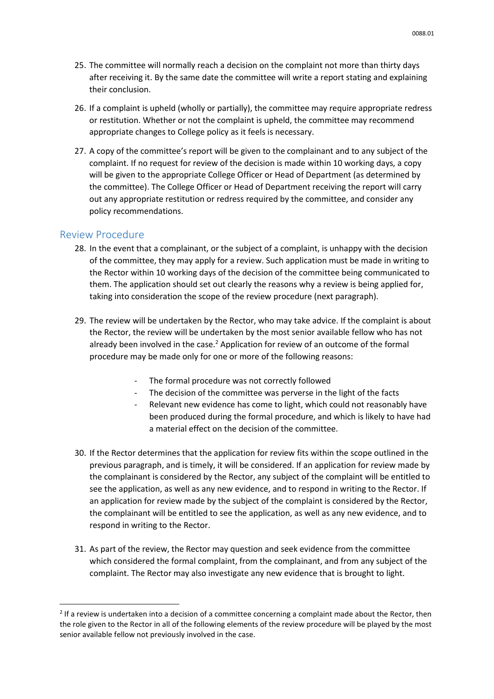- 25. The committee will normally reach a decision on the complaint not more than thirty days after receiving it. By the same date the committee will write a report stating and explaining their conclusion.
- 26. If a complaint is upheld (wholly or partially), the committee may require appropriate redress or restitution. Whether or not the complaint is upheld, the committee may recommend appropriate changes to College policy as it feels is necessary.
- 27. A copy of the committee's report will be given to the complainant and to any subject of the complaint. If no request for review of the decision is made within 10 working days, a copy will be given to the appropriate College Officer or Head of Department (as determined by the committee). The College Officer or Head of Department receiving the report will carry out any appropriate restitution or redress required by the committee, and consider any policy recommendations.

#### Review Procedure

**.** 

- 28. In the event that a complainant, or the subject of a complaint, is unhappy with the decision of the committee, they may apply for a review. Such application must be made in writing to the Rector within 10 working days of the decision of the committee being communicated to them. The application should set out clearly the reasons why a review is being applied for, taking into consideration the scope of the review procedure (next paragraph).
- 29. The review will be undertaken by the Rector, who may take advice. If the complaint is about the Rector, the review will be undertaken by the most senior available fellow who has not already been involved in the case. $<sup>2</sup>$  Application for review of an outcome of the formal</sup> procedure may be made only for one or more of the following reasons:
	- The formal procedure was not correctly followed
	- The decision of the committee was perverse in the light of the facts
	- Relevant new evidence has come to light, which could not reasonably have been produced during the formal procedure, and which is likely to have had a material effect on the decision of the committee.
- 30. If the Rector determines that the application for review fits within the scope outlined in the previous paragraph, and is timely, it will be considered. If an application for review made by the complainant is considered by the Rector, any subject of the complaint will be entitled to see the application, as well as any new evidence, and to respond in writing to the Rector. If an application for review made by the subject of the complaint is considered by the Rector, the complainant will be entitled to see the application, as well as any new evidence, and to respond in writing to the Rector.
- 31. As part of the review, the Rector may question and seek evidence from the committee which considered the formal complaint, from the complainant, and from any subject of the complaint. The Rector may also investigate any new evidence that is brought to light.

 $2$  If a review is undertaken into a decision of a committee concerning a complaint made about the Rector, then the role given to the Rector in all of the following elements of the review procedure will be played by the most senior available fellow not previously involved in the case.